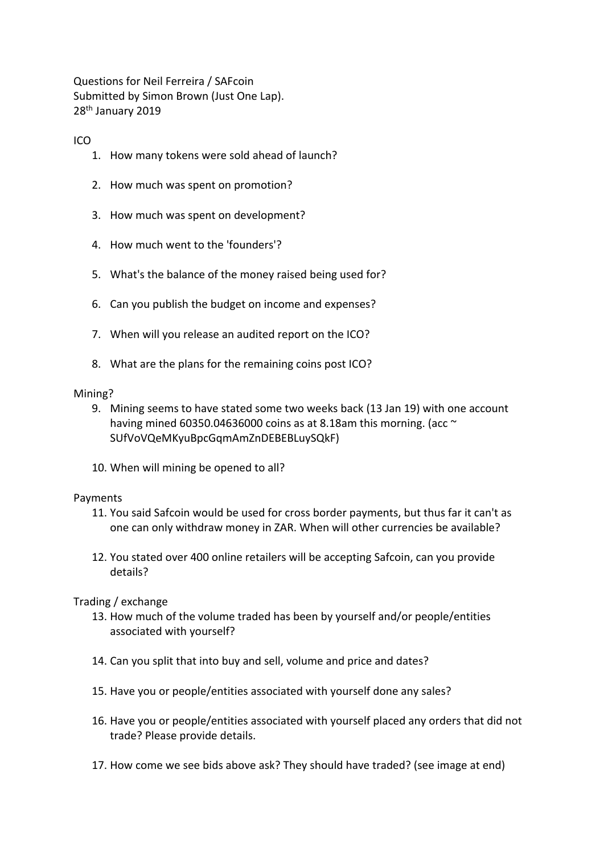Questions for Neil Ferreira / SAFcoin Submitted by Simon Brown (Just One Lap). 28th January 2019

# ICO

- 1. How many tokens were sold ahead of launch?
- 2. How much was spent on promotion?
- 3. How much was spent on development?
- 4. How much went to the 'founders'?
- 5. What's the balance of the money raised being used for?
- 6. Can you publish the budget on income and expenses?
- 7. When will you release an audited report on the ICO?
- 8. What are the plans for the remaining coins post ICO?

#### Mining?

- 9. Mining seems to have stated some two weeks back (13 Jan 19) with one account having mined 60350.04636000 coins as at 8.18am this morning. (acc  $\sim$ SUfVoVQeMKyuBpcGqmAmZnDEBEBLuySQkF)
- 10. When will mining be opened to all?

## Payments

- 11. You said Safcoin would be used for cross border payments, but thus far it can't as one can only withdraw money in ZAR. When will other currencies be available?
- 12. You stated over 400 online retailers will be accepting Safcoin, can you provide details?

## Trading / exchange

- 13. How much of the volume traded has been by yourself and/or people/entities associated with yourself?
- 14. Can you split that into buy and sell, volume and price and dates?
- 15. Have you or people/entities associated with yourself done any sales?
- 16. Have you or people/entities associated with yourself placed any orders that did not trade? Please provide details.
- 17. How come we see bids above ask? They should have traded? (see image at end)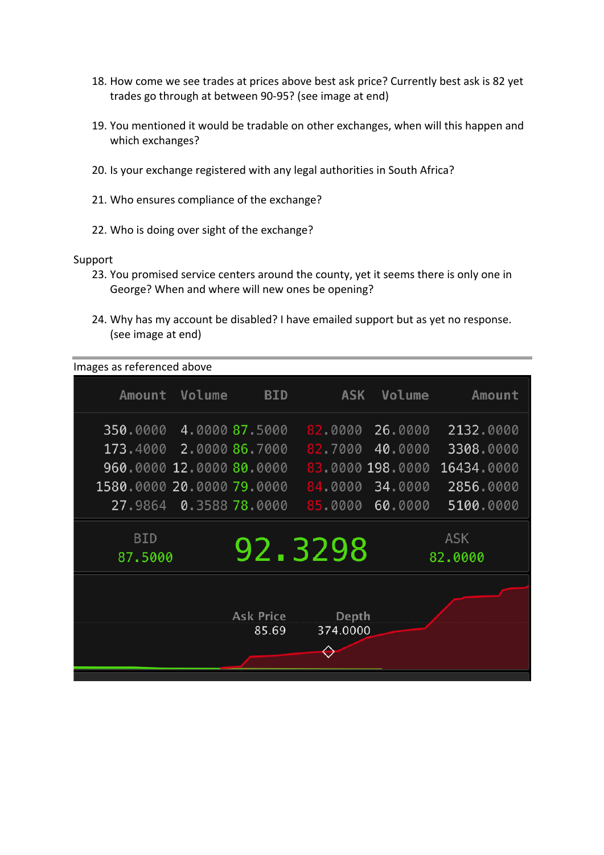- 18. How come we see trades at prices above best ask price? Currently best ask is 82 yet trades go through at between 90-95? (see image at end)
- 19. You mentioned it would be tradable on other exchanges, when will this happen and which exchanges?
- 20. Is your exchange registered with any legal authorities in South Africa?
- 21. Who ensures compliance of the exchange?
- 22. Who is doing over sight of the exchange?

#### Support

- 23. You promised service centers around the county, yet it seems there is only one in George? When and where will new ones be opening?
- 24. Why has my account be disabled? I have emailed support but as yet no response. (see image at end)

Images as referenced above

| Amount                    | Volume                 | <b>BID</b>                | <b>ASK</b>        | Volume           | Amount                |
|---------------------------|------------------------|---------------------------|-------------------|------------------|-----------------------|
| 350,0000                  |                        | 4.0000 87.5000            | 82.0000           | 26.0000          | 2132.0000             |
| 173.4000 2.0000 86.7000   |                        |                           | 82.7000           | 40.0000          | 3308.0000             |
| 960,0000 12,0000 80,0000  |                        |                           |                   | 83 0000 198.0000 | 16434.0000            |
| 1580,0000 20,0000 79,0000 |                        |                           | 84.0000           | 34.0000          | 2856.0000             |
|                           | 27.9864 0.3588 78.0000 |                           |                   | 85 0000 60.0000  | 5100.0000             |
| <b>BID</b><br>87.5000     |                        |                           | 92.3298           |                  | <b>ASK</b><br>82.0000 |
|                           |                        | <b>Ask Price</b><br>85.69 | Depth<br>374.0000 |                  |                       |
|                           |                        |                           |                   |                  |                       |